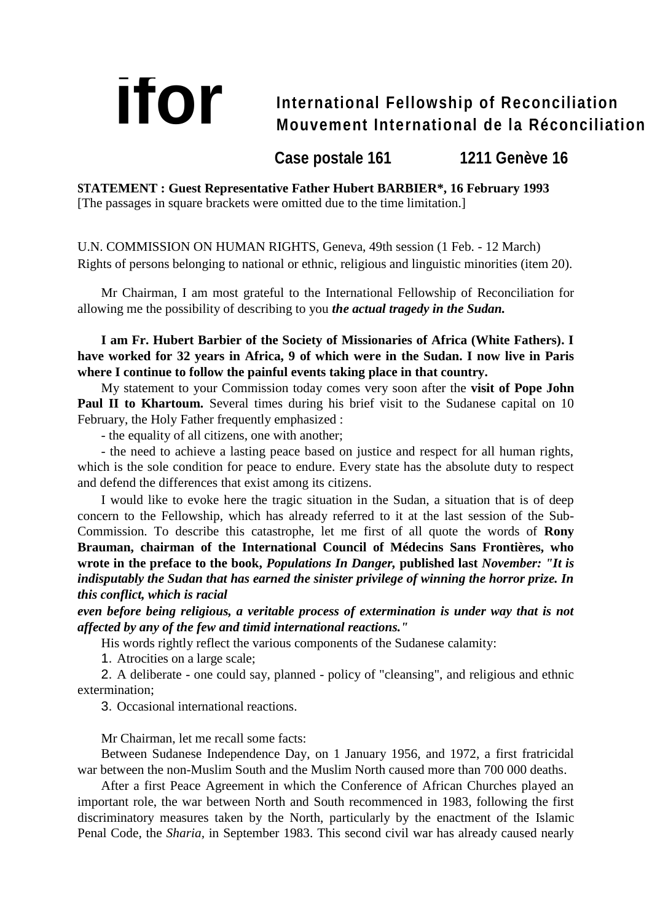# **if Of** International Fellowship of Reconciliation **Mouvement International de la Réconciliation**

**Case postale 161 1211 Genève 16**

**STATEMENT : Guest Representative Father Hubert BARBIER\*, 16 February 1993**  [The passages in square brackets were omitted due to the time limitation.]

U.N. COMMISSION ON HUMAN RIGHTS, Geneva, 49th session (1 Feb. - 12 March) Rights of persons belonging to national or ethnic, religious and linguistic minorities (item 20).

Mr Chairman, I am most grateful to the International Fellowship of Reconciliation for allowing me the possibility of describing to you *the actual tragedy in the Sudan.*

**I am Fr. Hubert Barbier of the Society of Missionaries of Africa (White Fathers). I have worked for 32 years in Africa, 9 of which were in the Sudan. I now live in Paris where I continue to follow the painful events taking place in that country.**

My statement to your Commission today comes very soon after the **visit of Pope John**  Paul II to Khartoum. Several times during his brief visit to the Sudanese capital on 10 February, the Holy Father frequently emphasized :

- the equality of all citizens, one with another;

- the need to achieve a lasting peace based on justice and respect for all human rights, which is the sole condition for peace to endure. Every state has the absolute duty to respect and defend the differences that exist among its citizens.

I would like to evoke here the tragic situation in the Sudan, a situation that is of deep concern to the Fellowship, which has already referred to it at the last session of the Sub-Commission. To describe this catastrophe, let me first of all quote the words of **Rony Brauman, chairman of the International Council of Médecins Sans Frontières, who wrote in the preface to the book,** *Populations In Danger,* **published last** *November: "It is indisputably the Sudan that has earned the sinister privilege of winning the horror prize. In this conflict, which is racial* 

*even before being religious, a veritable process of extermination is under way that is not affected by any of the few and timid international reactions."*

His words rightly reflect the various components of the Sudanese calamity:

1. Atrocities on a large scale;

2. A deliberate - one could say, planned - policy of "cleansing", and religious and ethnic extermination;

3. Occasional international reactions.

Mr Chairman, let me recall some facts:

Between Sudanese Independence Day, on 1 January 1956, and 1972, a first fratricidal war between the non-Muslim South and the Muslim North caused more than 700 000 deaths.

After a first Peace Agreement in which the Conference of African Churches played an important role, the war between North and South recommenced in 1983, following the first discriminatory measures taken by the North, particularly by the enactment of the Islamic Penal Code, the *Sharia,* in September 1983. This second civil war has already caused nearly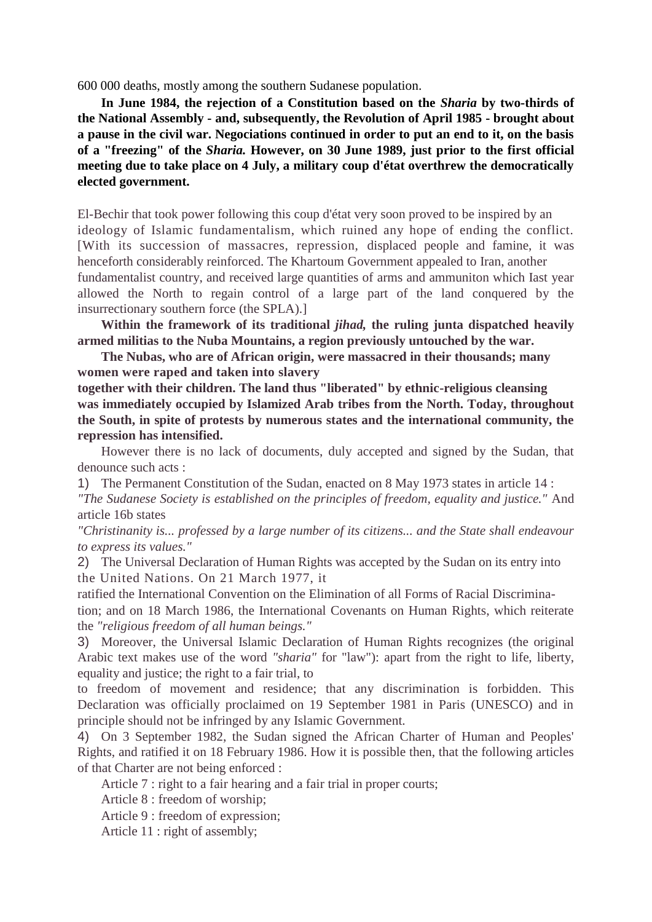600 000 deaths, mostly among the southern Sudanese population.

**In June 1984, the rejection of a Constitution based on the** *Sharia* **by two-thirds of the National Assembly - and, subsequently, the Revolution of April 1985 - brought about a pause in the civil war. Negociations continued in order to put an end to it, on the basis of a "freezing" of the** *Sharia.* **However, on 30 June 1989, just prior to the first official meeting due to take place on 4 July, a military coup d'état overthrew the democratically elected government.**

El-Bechir that took power following this coup d'état very soon proved to be inspired by an ideology of Islamic fundamentalism, which ruined any hope of ending the conflict. [With its succession of massacres, repression, displaced people and famine, it was henceforth considerably reinforced. The Khartoum Government appealed to Iran, another fundamentalist country, and received large quantities of arms and ammuniton which Iast year allowed the North to regain control of a large part of the land conquered by the insurrectionary southern force (the SPLA).]

**Within the framework of its traditional** *jihad,* **the ruling junta dispatched heavily armed militias to the Nuba Mountains, a region previously untouched by the war.**

**The Nubas, who are of African origin, were massacred in their thousands; many women were raped and taken into slavery**

**together with their children. The land thus "liberated" by ethnic-religious cleansing was immediately occupied by Islamized Arab tribes from the North. Today, throughout the South, in spite of protests by numerous states and the international community, the repression has intensified.**

However there is no lack of documents, duly accepted and signed by the Sudan, that denounce such acts :

1) The Permanent Constitution of the Sudan, enacted on 8 May 1973 states in article 14 :

*"The Sudanese Society is established on the principles of freedom, equality and justice."* And article 16b states

*"Christinanity is... professed by a large number of its citizens... and the State shall endeavour to express its values."*

2) The Universal Declaration of Human Rights was accepted by the Sudan on its entry into the United Nations. On 21 March 1977, it

ratified the International Convention on the Elimination of all Forms of Racial Discrimination; and on 18 March 1986, the International Covenants on Human Rights, which reiterate the *"religious freedom of all human beings."*

3) Moreover, the Universal Islamic Declaration of Human Rights recognizes (the original Arabic text makes use of the word *"sharia"* for "law"): apart from the right to life, liberty, equality and justice; the right to a fair trial, to

to freedom of movement and residence; that any discrimination is forbidden. This Declaration was officially proclaimed on 19 September 1981 in Paris (UNESCO) and in principle should not be infringed by any Islamic Government.

4) On 3 September 1982, the Sudan signed the African Charter of Human and Peoples' Rights, and ratified it on 18 February 1986. How it is possible then, that the following articles of that Charter are not being enforced :

Article 7 : right to a fair hearing and a fair trial in proper courts;

Article 8 : freedom of worship;

Article 9 : freedom of expression;

Article 11 : right of assembly;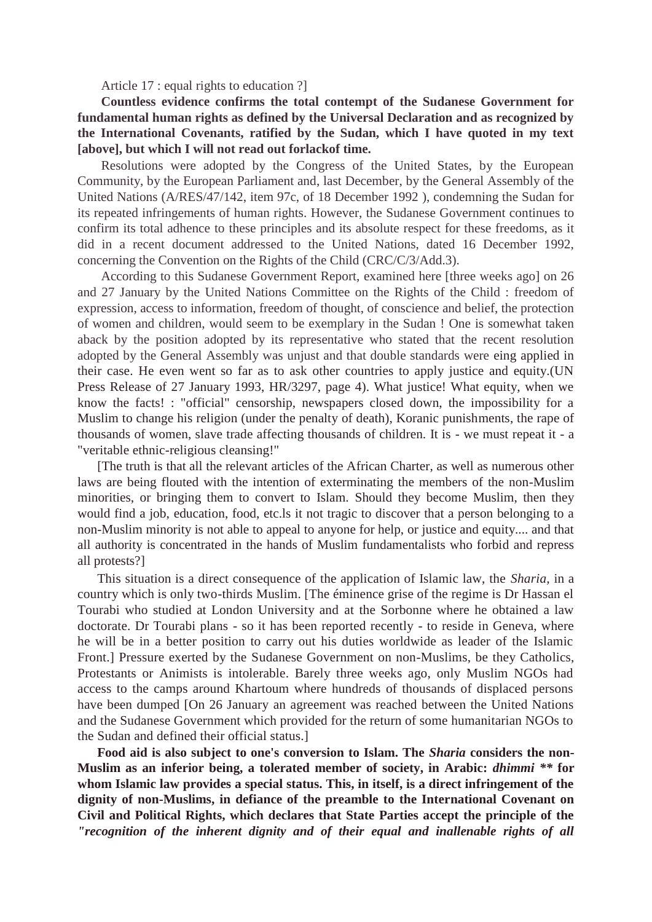Article 17 : equal rights to education ?]

**Countless evidence confirms the total contempt of the Sudanese Government for fundamental human rights as defined by the Universal Declaration and as recognized by the International Covenants, ratified by the Sudan, which I have quoted in my text [above], but which I will not read out forlackof time.**

Resolutions were adopted by the Congress of the United States, by the European Community, by the European Parliament and, last December, by the General Assembly of the United Nations (A/RES/47/142, item 97c, of 18 December 1992 ), condemning the Sudan for its repeated infringements of human rights. However, the Sudanese Government continues to confirm its total adhence to these principles and its absolute respect for these freedoms, as it did in a recent document addressed to the United Nations, dated 16 December 1992, concerning the Convention on the Rights of the Child (CRC/C/3/Add.3).

According to this Sudanese Government Report, examined here [three weeks ago] on 26 and 27 January by the United Nations Committee on the Rights of the Child : freedom of expression, access to information, freedom of thought, of conscience and belief, the protection of women and children, would seem to be exemplary in the Sudan ! One is somewhat taken aback by the position adopted by its representative who stated that the recent resolution adopted by the General Assembly was unjust and that double standards were eing applied in their case. He even went so far as to ask other countries to apply justice and equity.(UN Press Release of 27 January 1993, HR/3297, page 4). What justice! What equity, when we know the facts! : "official" censorship, newspapers closed down, the impossibility for a Muslim to change his religion (under the penalty of death), Koranic punishments, the rape of thousands of women, slave trade affecting thousands of children. It is - we must repeat it - a "veritable ethnic-religious cleansing!"

[The truth is that all the relevant articles of the African Charter, as well as numerous other laws are being flouted with the intention of exterminating the members of the non-Muslim minorities, or bringing them to convert to Islam. Should they become Muslim, then they would find a job, education, food, etc.ls it not tragic to discover that a person belonging to a non-Muslim minority is not able to appeal to anyone for help, or justice and equity.... and that all authority is concentrated in the hands of Muslim fundamentalists who forbid and repress all protests?]

This situation is a direct consequence of the application of Islamic law, the *Sharia,* in a country which is only two-thirds Muslim. [The éminence grise of the regime is Dr Hassan el Tourabi who studied at London University and at the Sorbonne where he obtained a law doctorate. Dr Tourabi plans - so it has been reported recently - to reside in Geneva, where he will be in a better position to carry out his duties worldwide as leader of the Islamic Front.] Pressure exerted by the Sudanese Government on non-Muslims, be they Catholics, Protestants or Animists is intolerable. Barely three weeks ago, only Muslim NGOs had access to the camps around Khartoum where hundreds of thousands of displaced persons have been dumped [On 26 January an agreement was reached between the United Nations and the Sudanese Government which provided for the return of some humanitarian NGOs to the Sudan and defined their official status.]

**Food aid is also subject to one's conversion to Islam. The** *Sharia* **considers the non-Muslim as an inferior being, a tolerated member of society, in Arabic:** *dhimmi \*\** **for whom Islamic law provides a special status. This, in itself, is a direct infringement of the dignity of non-Muslims, in defiance of the preamble to the International Covenant on Civil and Political Rights, which declares that State Parties accept the principle of the**  *"recognition of the inherent dignity and of their equal and inallenable rights of all*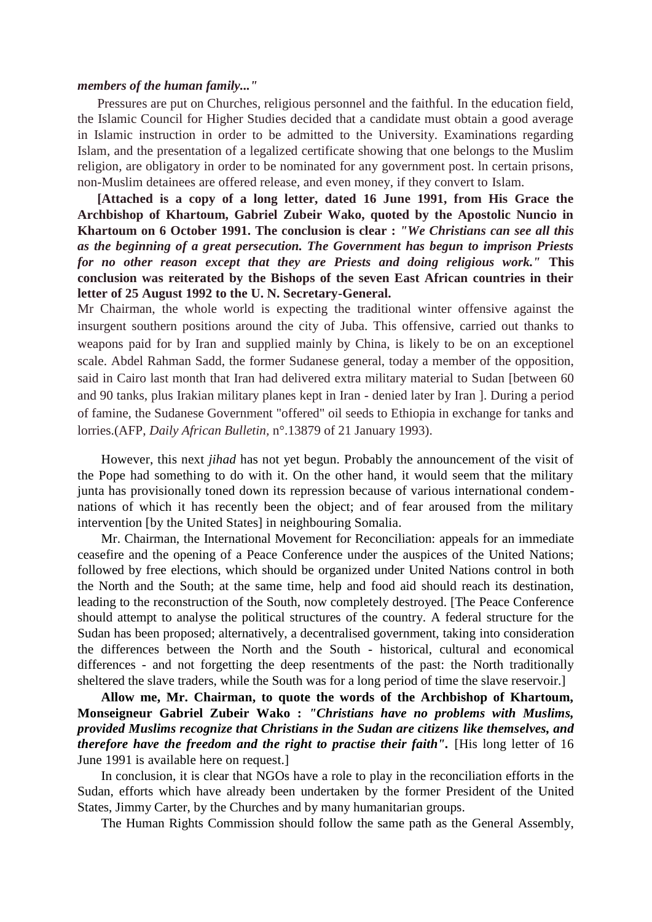#### *members of the human family..."*

Pressures are put on Churches, religious personnel and the faithful. In the education field, the Islamic Council for Higher Studies decided that a candidate must obtain a good average in Islamic instruction in order to be admitted to the University. Examinations regarding Islam, and the presentation of a legalized certificate showing that one belongs to the Muslim religion, are obligatory in order to be nominated for any government post. ln certain prisons, non-Muslim detainees are offered release, and even money, if they convert to Islam.

**[Attached is a copy of a long letter, dated 16 June 1991, from His Grace the Archbishop of Khartoum, Gabriel Zubeir Wako, quoted by the Apostolic Nuncio in Khartoum on 6 October 1991. The conclusion is clear :** *"We Christians can see all this as the beginning of a great persecution. The Government has begun to imprison Priests for no other reason except that they are Priests and doing religious work."* **This conclusion was reiterated by the Bishops of the seven East African countries in their letter of 25 August 1992 to the U. N. Secretary-General.**

Mr Chairman, the whole world is expecting the traditional winter offensive against the insurgent southern positions around the city of Juba. This offensive, carried out thanks to weapons paid for by Iran and supplied mainly by China, is likely to be on an exceptionel scale. Abdel Rahman Sadd, the former Sudanese general, today a member of the opposition, said in Cairo last month that Iran had delivered extra military material to Sudan [between 60 and 90 tanks, plus Irakian military planes kept in Iran - denied later by Iran ]. During a period of famine, the Sudanese Government "offered" oil seeds to Ethiopia in exchange for tanks and lorries.(AFP, *Daily African Bulletin,* n°.13879 of 21 January 1993).

However, this next *jihad* has not yet begun. Probably the announcement of the visit of the Pope had something to do with it. On the other hand, it would seem that the military junta has provisionally toned down its repression because of various international condemnations of which it has recently been the object; and of fear aroused from the military intervention [by the United States] in neighbouring Somalia.

Mr. Chairman, the International Movement for Reconciliation: appeals for an immediate ceasefire and the opening of a Peace Conference under the auspices of the United Nations; followed by free elections, which should be organized under United Nations control in both the North and the South; at the same time, help and food aid should reach its destination, leading to the reconstruction of the South, now completely destroyed. [The Peace Conference should attempt to analyse the political structures of the country. A federal structure for the Sudan has been proposed; alternatively, a decentralised government, taking into consideration the differences between the North and the South - historical, cultural and economical differences - and not forgetting the deep resentments of the past: the North traditionally sheltered the slave traders, while the South was for a long period of time the slave reservoir.]

**Allow me, Mr. Chairman, to quote the words of the Archbishop of Khartoum, Monseigneur Gabriel Zubeir Wako :** *"Christians have no problems with Muslims, provided Muslims recognize that Christians in the Sudan are citizens like themselves, and therefore have the freedom and the right to practise their faith".* [His long letter of 16 June 1991 is available here on request.]

In conclusion, it is clear that NGOs have a role to play in the reconciliation efforts in the Sudan, efforts which have already been undertaken by the former President of the United States, Jimmy Carter, by the Churches and by many humanitarian groups.

The Human Rights Commission should follow the same path as the General Assembly,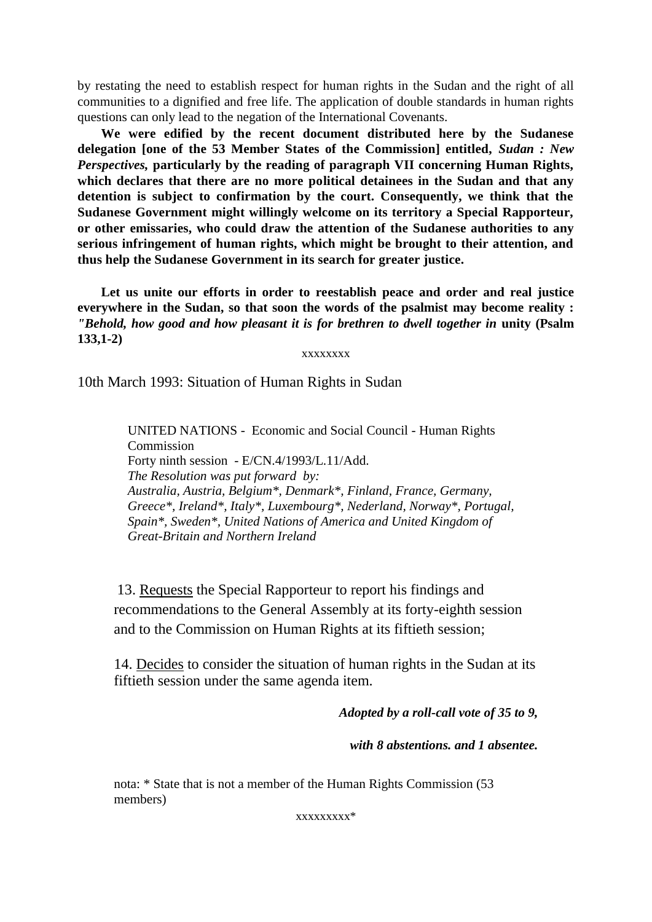by restating the need to establish respect for human rights in the Sudan and the right of all communities to a dignified and free life. The application of double standards in human rights questions can only lead to the negation of the International Covenants.

**We were edified by the recent document distributed here by the Sudanese delegation [one of the 53 Member States of the Commission] entitled,** *Sudan : New Perspectives,* **particularly by the reading of paragraph VII concerning Human Rights, which declares that there are no more political detainees in the Sudan and that any detention is subject to confirmation by the court. Consequently, we think that the Sudanese Government might willingly welcome on its territory a Special Rapporteur, or other emissaries, who could draw the attention of the Sudanese authorities to any serious infringement of human rights, which might be brought to their attention, and thus help the Sudanese Government in its search for greater justice.**

**Let us unite our efforts in order to reestablish peace and order and real justice everywhere in the Sudan, so that soon the words of the psalmist may become reality :**  *"Behold, how good and how pleasant it is for brethren to dwell together in unity* (Psalm **133,1-2)**

xxxxxxxx

10th March 1993: Situation of Human Rights in Sudan

UNITED NATIONS - Economic and Social Council - Human Rights **Commission** Forty ninth session - E/CN.4/1993/L.11/Add. *The Resolution was put forward by: Australia, Austria, Belgium\*, Denmark\*, Finland, France, Germany, Greece\*, Ireland\*, Italy\*, Luxembourg\*, Nederland, Norway\*, Portugal, Spain\*, Sweden\*, United Nations of America and United Kingdom of Great-Britain and Northern Ireland* 

13. Requests the Special Rapporteur to report his findings and recommendations to the General Assembly at its forty-eighth session and to the Commission on Human Rights at its fiftieth session;

14. Decides to consider the situation of human rights in the Sudan at its fiftieth session under the same agenda item.

*Adopted by a roll-call vote of 35 to 9,* 

*with 8 abstentions. and 1 absentee.*

nota: \* State that is not a member of the Human Rights Commission (53 members)

xxxxxxxxx\*